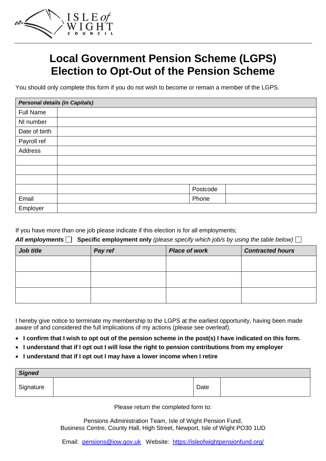

# **Local Government Pension Scheme (LGPS) Election to Opt-Out of the Pension Scheme**

You should only complete this form if you do not wish to become or remain a member of the LGPS.

| <b>Personal details (in Capitals)</b> |  |          |  |  |
|---------------------------------------|--|----------|--|--|
| <b>Full Name</b>                      |  |          |  |  |
| NI number                             |  |          |  |  |
| Date of birth                         |  |          |  |  |
| Payroll ref                           |  |          |  |  |
| Address                               |  |          |  |  |
|                                       |  |          |  |  |
|                                       |  |          |  |  |
|                                       |  |          |  |  |
|                                       |  | Postcode |  |  |
| Email                                 |  | Phone    |  |  |
| Employer                              |  |          |  |  |

If you have more than one job please indicate if this election is for all employments;

*All employments* **Specific employment only** *(please specify which job/s by using the table below)*

| Job title | Pay ref | <b>Place of work</b> | <b>Contracted hours</b> |
|-----------|---------|----------------------|-------------------------|
|           |         |                      |                         |
|           |         |                      |                         |
|           |         |                      |                         |
|           |         |                      |                         |
|           |         |                      |                         |

I hereby give notice to terminate my membership to the LGPS at the earliest opportunity, having been made aware of and considered the full implications of my actions (please see overleaf).

- **I confirm that I wish to opt out of the pension scheme in the post(s) I have indicated on this form.**
- **I understand that if I opt out I will lose the right to pension contributions from my employer**
- **I understand that if I opt out I may have a lower income when I retire**

| <b>Signed</b> |  |      |  |  |  |
|---------------|--|------|--|--|--|
| Signature     |  | Date |  |  |  |

Please return the completed form to:

Pensions Administration Team, Isle of Wight Pension Fund, Business Centre, County Hall, High Street, Newport, Isle of Wight PO30 1UD